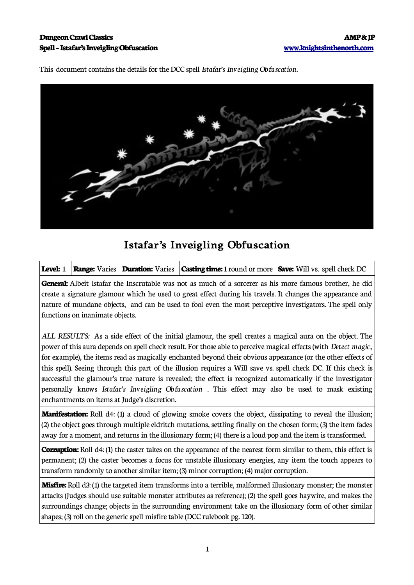

This document contains the details for the DCC spell *Istafar's Inveigling Obfuscation.*

## **Istafar's Inveigling Obfuscation**

|  |  |  | <b>Level:</b> 1 <b>Range:</b> Varies <b>Duration:</b> Varies <b>Casting time:</b> 1 round or more <b>Save:</b> Will vs. spell check DC |  |
|--|--|--|----------------------------------------------------------------------------------------------------------------------------------------|--|
|--|--|--|----------------------------------------------------------------------------------------------------------------------------------------|--|

**General:** Albeit Istafar the Inscrutable was not as much of a sorcerer as his more famous brother, he did create a signature glamour which he used to great effect during his travels. It changes the appearance and nature of mundane objects, and can be used to fool even the most perceptive investigators. The spell only functions on inanimate objects.

*ALL RESULTS:* As a side effect of the initial glamour, the spell creates a magical aura on the object. The power of this aura depends on spell check result. For those able to perceive magical effects (with *Detect magic,* for example), the items read as magically enchanted beyond their obvious appearance (or the other effects of this spell). Seeing through this part of the illusion requires a Will save vs. spell check DC*.* If this check is successful the glamour's true nature is revealed; the effect is recognized automatically if the investigator personally knows *Istafar's Inveigling Obfuscation* . This effect may also be used to mask existing enchantments on items at Judge's discretion.

**Manifestation:** Roll d4: (1) a cloud of glowing smoke covers the object, dissipating to reveal the illusion; (2) the object goes through multiple eldritch mutations, settling finally on the chosen form; (3) the item fades away for a moment, and returns in the illusionary form; (4) there is a loud pop and the item is transformed.

**Corruption:** Roll d4: (1) the caster takes on the appearance of the nearest form similar to them, this effect is permanent; (2) the caster becomes a focus for unstable illusionary energies, any item the touch appears to transform randomly to another similar item; (3) minor corruption; (4) major corruption.

**Misfire:** Roll d3: (1) the targeted item transforms into a terrible, malformed illusionary monster; the monster attacks (Judges should use suitable monster attributes as reference); (2) the spell goes haywire, and makes the surroundings change; objects in the surrounding environment take on the illusionary form of other similar shapes; (3) roll on the generic spell misfire table (DCC rulebook pg. 120).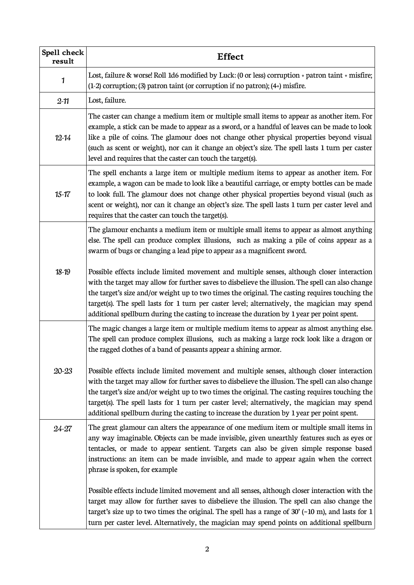| Spell check<br>result | <b>Effect</b>                                                                                                                                                                                                                                                                                                                                                                                                                                                                                      |
|-----------------------|----------------------------------------------------------------------------------------------------------------------------------------------------------------------------------------------------------------------------------------------------------------------------------------------------------------------------------------------------------------------------------------------------------------------------------------------------------------------------------------------------|
| 1                     | Lost, failure & worse! Roll 1d6 modified by Luck: (0 or less) corruption $*$ patron taint $*$ misfire;<br>$(1-2)$ corruption; (3) patron taint (or corruption if no patron); $(4+)$ misfire.                                                                                                                                                                                                                                                                                                       |
| $2 - 11$              | Lost, failure.                                                                                                                                                                                                                                                                                                                                                                                                                                                                                     |
| $12 - 14$             | The caster can change a medium item or multiple small items to appear as another item. For<br>example, a stick can be made to appear as a sword, or a handful of leaves can be made to look<br>like a pile of coins. The glamour does not change other physical properties beyond visual<br>(such as scent or weight), nor can it change an object's size. The spell lasts 1 turn per caster<br>level and requires that the caster can touch the target(s).                                        |
| $15 - 17$             | The spell enchants a large item or multiple medium items to appear as another item. For<br>example, a wagon can be made to look like a beautiful carriage, or empty bottles can be made<br>to look full. The glamour does not change other physical properties beyond visual (such as<br>scent or weight), nor can it change an object's size. The spell lasts 1 turn per caster level and<br>requires that the caster can touch the target(s).                                                    |
|                       | The glamour enchants a medium item or multiple small items to appear as almost anything<br>else. The spell can produce complex illusions, such as making a pile of coins appear as a<br>swarm of bugs or changing a lead pipe to appear as a magnificent sword.                                                                                                                                                                                                                                    |
| $18 - 19$             | Possible effects include limited movement and multiple senses, although closer interaction<br>with the target may allow for further saves to disbelieve the illusion. The spell can also change<br>the target's size and/or weight up to two times the original. The casting requires touching the<br>target(s). The spell lasts for 1 turn per caster level; alternatively, the magician may spend<br>additional spellburn during the casting to increase the duration by 1 year per point spent. |
|                       | The magic changes a large item or multiple medium items to appear as almost anything else.<br>The spell can produce complex illusions, such as making a large rock look like a dragon or<br>the ragged clothes of a band of peasants appear a shining armor.                                                                                                                                                                                                                                       |
| 20-23                 | Possible effects include limited movement and multiple senses, although closer interaction<br>with the target may allow for further saves to disbelieve the illusion. The spell can also change<br>the target's size and/or weight up to two times the original. The casting requires touching the<br>target(s). The spell lasts for 1 turn per caster level; alternatively, the magician may spend<br>additional spellburn during the casting to increase the duration by 1 year per point spent. |
| $24 - 27$             | The great glamour can alters the appearance of one medium item or multiple small items in<br>any way imaginable. Objects can be made invisible, given unearthly features such as eyes or<br>tentacles, or made to appear sentient. Targets can also be given simple response based<br>instructions: an item can be made invisible, and made to appear again when the correct<br>phrase is spoken, for example                                                                                      |
|                       | Possible effects include limited movement and all senses, although closer interaction with the<br>target may allow for further saves to disbelieve the illusion. The spell can also change the<br>target's size up to two times the original. The spell has a range of $30'$ (~10 m), and lasts for 1<br>turn per caster level. Alternatively, the magician may spend points on additional spellburn                                                                                               |